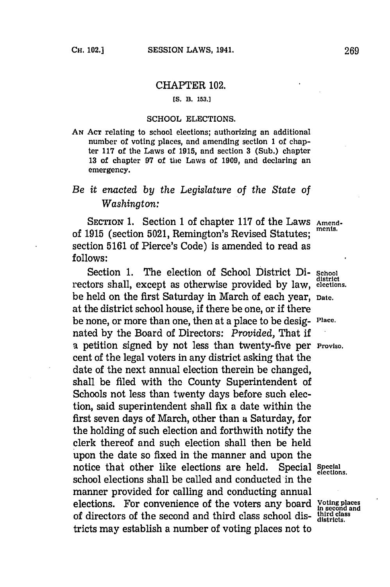## CHAPTER 102.

## **[S.** B. **153.1**

## **SCHOOL** ELECTIONS.

**AN ACT** relating to school elections; authorizing an additional number of voting places, and amending section **1** of chapter **117** of the Laws of **1915,** and section **3** (Sub.) chapter **13** of chapter **97** of the Laws of **1909,** and declaring an emergency.

## *Be it enacted by the Legislature* of *the State of Washington:*

SECTION 1. Section 1 of chapter 117 of the Laws Amendof **1915** (section **5021,** Remington's Revised Statutes; **ments.** section **5161** of Pierce's Code) is amended to read as **follows:**

Section **1.** The election of School District Di- **School district** rectors shall, except as otherwise provided **by** law, **elections.** be held on the first Saturday in March of each year, **Date.** at the district school house, if there be one, or if there be none, or more than one, then at a place to be desig- **Place.** nated **by** the Board of Directors: *Provided,* That if a petition signed **by** not less than twenty-five per **Proviso.** cent of the legal voters in any district asking that the date of the next annual election therein be changed, shall be filed with the County Superintendent of Schools not less than twenty days before such election, said superintendent shall fix a date within the first seven days of March, other than a Saturday, for the holding of such election and forthwith notify the clerk thereof and such election shall then be held upon the date so fixed in the manner and upon the notice that other like elections are held. Special special elections. school elections shall be called and conducted in the manner provided for calling and conducting annual elections. For convenience of the voters any board **Voting places in second and** of directors of the second and third class school dis- **third class dstricts.** tricts may establish a number of voting places not to